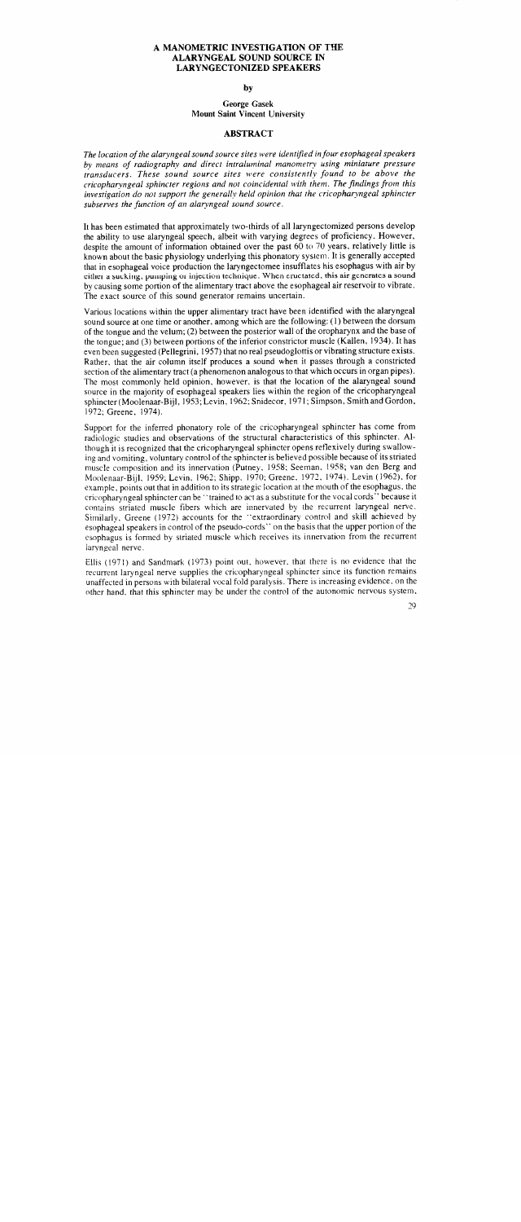### A MANOMETRIC INVESTIGATION OF THE ALARYNGEAL SOUND SOURCE IN LARYNGECTONIZED SPEAKERS

by

### George Gasek Mount Saint Vincent University

### ABSTRACT

*The location of the alaryngeal sound source sites were identified infour esophageal speakers by means of radiography and direct intraluminal manometry using miniature pressure transducers. These sound source sites were consistently found to be above the cricopharyngeal sphincter regions and not coincidental with them. The findings from this investigation do not support the generally held opinion that the cricopharyngeal sphincter subserves the function of an alaryngea/ sound source.* 

It has been estimated that approximately two-thirds of all laryngectomized persons develop the ability to use alaryngeal speech, albeit with varying degrees of proficiency. However, despite the amount of information obtained over the past 60 to 70 years, relatively little is known about the basic physiology underlying this phonatory system. It is generally accepted that in esophageal voice production the laryngectomee insufflates his esophagus with air by either a sucking, pumping or injection technique. When eructated, this air generates a sound by causing some portion of the alimentary tract above the esophageal air reservoir to vibrate. The exact source of this sound generator remains uncertain.

Various locations within the upper alimentary tract have been identified with the alaryngeal sound source at one time or another, among which are the following: (I) between the dorsum of the tongue and the velum; (2) between the posterior wall of the oropharynx and the base of the tongue; and (3) between portions of the inferior constrictor muscle (Kallen, 1934). It has even been suggested (Pellegrini, 1957) that no real pseudoglottis or vibrating structure exists. Rather, that the air column itself produces a sound when it passes through a constricted section of the alimentary tract (a phenomenon analogous to that which occurs in organ pipes). The most commonly held opinion, however. is that the location of the alaryngeal sound source in the majority of esophageal speakers lies within the region of the cricopharyngeal sphincter (Moolenaar-Bijl, 1953; Levin, 1962; Snidecor, 1971; Simpson, Smith and Gordon, 1972; Greene, 1974).

Support for the inferred phonatory role of the cricopharyngeal sphincter has come from radiologic studies and observations of the structural characteristics of this sphincter. Although it is recognized that the cricopharyngeal sphincter opens reflexively during swallowing and vomiting, voluntary control of the sphincter is believed possible because of its striated muscle composition and its innervation (Putney. 1958; Seeman. 1958; van den Berg and Moolenaar-Bijl. 1959; Levin, 1962; Shipp. 1970; Greene. 1972. 1974). Levin (1962), for example. points out that in addition to its strategic location at the mouth of the esophagus. the cricopharyngeal sphincter can be' 'trained to act as a substitute for the vocal cords" because it contains striated muscle fibers which are innervated by the recurrent laryngeal nerve. Similarly, Greene (1972) accounts for the "extraordinary control and skill achieved by esophageal speakers in control of the pseudo-cords" on the basis that the upper portion of the esophagus is formed by striated muscle which receives its innervation from the recurrent laryngeal nerve.

ElIis (1971) and Sandmark (1973) point out, however. that there is no evidence that the recurrent laryngeal nerve supplies the cricopharyngeal sphincter since its function remains unaffected in persons with bilateral vocal fold paralysis. There is increasing evidence, on the other hand, that this sphincter may be under the control of the autonomic nervous system.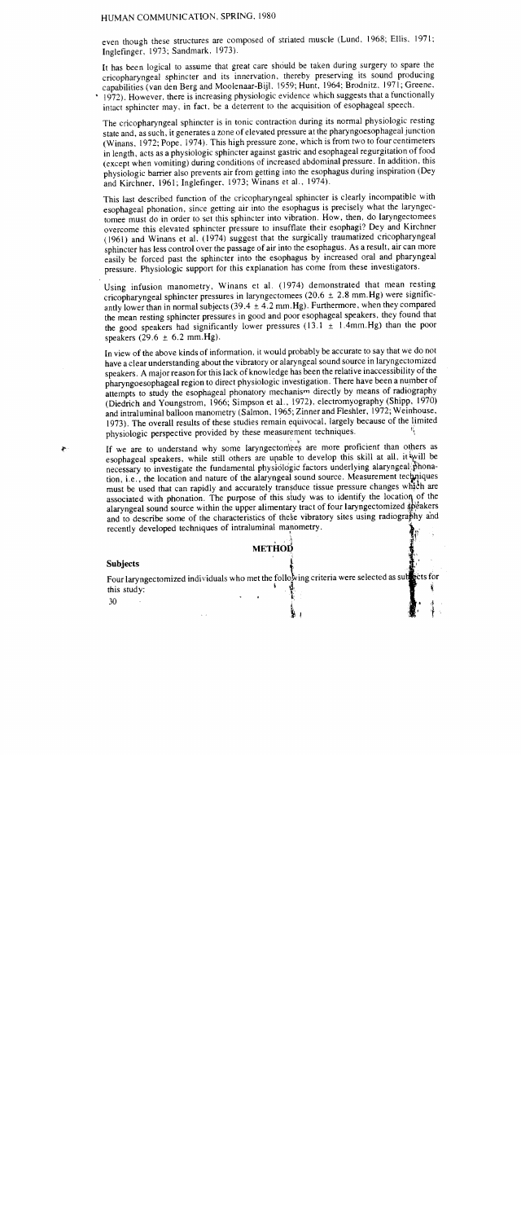even though these structures are composed of striated muscle (Lund, 1968; Ellis, 1971; Inglefinger, 1973; Sandmark, 1973).

It has been logical to assume that great care should be taken during surgery to spare the cricopharyngeal sphincter and its innervation, thereby preserving its sound producing capabilities (van den Berg and Moolenaar-Bijl, 1959; Hunt. 1964; Brodnitz, 1971; Greene, • 1972). However, there is increasing physiologic evidence which suggests that a functionally intact sphincter may, in fact. be a deterrent to the acquisition of esophageal speech.

The cricopharyngeal sphincter is in tonic contraction during its normal physiologic resting state and, as such, it generates a zone of elevated pressure at the pharyngoesophageal junction (Winans, 1972; Pope, 1974). This high pressure zone, which is from two to four centimeters in length, acts as a physiologic sphincter against gastric and esophageal regurgitation offood (except when vomiting) during conditions of increased abdominal pressure. In addition, this physiologic barrier also prevents air from getting into the esophagus during inspiration (Dey and Kirchner, 1961; Inglefinger, 1973; Winans et al., 1974).

This last described function of the cricopharyngeal sphincter is clearly incompatible with esophageal phonation, since getting air into the esophagus is precisely what the laryngectomee must do in order to set this sphincter into vibration. How, then, do laryngectomees overcome this elevated sphincter pressure to insufflate their esophagi? Dey and Kirchner (1961) and Winans et al. (1974) suggest that the surgically traumatized cricopharyngeal sphincter has less control over the passage of air into the esophagus. As a result, air can more easily be forced past the sphincter into the esophagus by increased oral and pharyngeal pressure. Physiologic support for this explanation has come from these investigators.

Using infusion manometry, Winans et al. (1974) demonstrated that mean resting cricopharyngeal sphincter pressures in laryngectomees (20.6  $\pm$  2.8 mm. Hg) were significantly lower than in normal subjects (39.4  $\pm$  4.2 mm.Hg). Furthermore, when they compared the mean resting sphincter pressures in good and poor esophageal speakers, they found that the good speakers had significantly lower pressures (13.1  $\pm$  1.4mm.Hg) than the poor speakers  $(29.6 \pm 6.2 \text{ mm} \cdot \text{Hg}).$ 

In view of the above kinds of information, it would probably be accurate to say that we do not have a clear understanding about the vibratory or alaryngeal sound source in laryngectomized speakers. A major reason for this lack of knowledge has been the relative inaccessibility of the pharyngoesophageal region to direct physiologic investigation. There have been a number of attempts to study the esophageal phonatory mechanism directly by means of radiography (Diedrich and Youngstrom, 1966; Simpson et a!., 1972), electromyography (Shipp, 1970) and intraluminal balloon manometry (Salmon, 1965; Zinner and Fleshier, 1972; Weinhouse, 1973). The overall results of these studies remain equivocal, largely because of the limited physiologic perspective provided by these measurement techniques.

If we are to understand why some laryngectomees are more proficient than others as esophageal speakers, while still others are unable to develop this skill at all, it will be necessary to investigate the fundamental physiologic factors underlying alaryngeal phonation, i.e., the location and nature of the alaryngeal sound source. Measurement techniques must be used that can rapidly and accurately transduce tissue pressure changes which are associated with phonation. The purpose of this study was to identify the location of the alaryngeal sound source within the upper alimentary tract of four laryngectomized speakers and to describe some of the characteristics of these vibratory sites using radiography and recently developed techniques of intraluminal manometry.

## **METHOD**

is a set of the set of the set of the set of the set of the set of the set of the set of the set of the set of

#### **Subjects** i

Four laryngectomized individuals who met the following criteria were selected as subsets for this study:<br>30 this study:  $\ddot{\phantom{0}}$ 

~1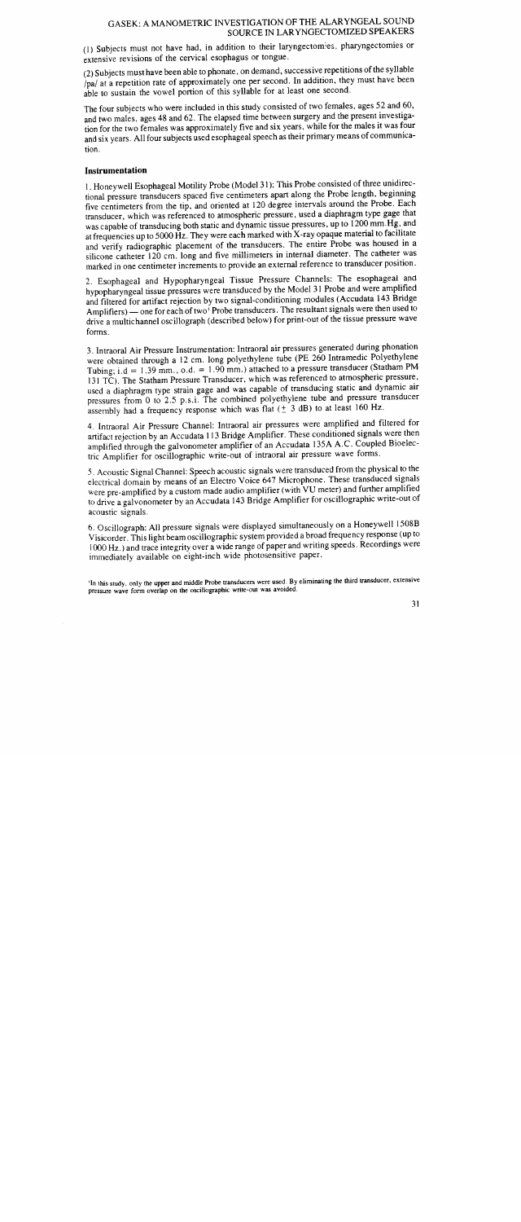### GASEK: A MANOMETRIC INVESTIGATION OF THE ALARYNGEAL SOUND SOURCE IN LAR YNGECTOMIZED SPEAKERS

(l) Subjects must not have had, in addition to their laryngectomies., pharyngectomies or extensive revisions of the cervical esophagus or tongue.

(2) Subjects must have been able to phonate, on demand, successive repetitions of the syllable Ipal at a repetition rate of approximately one per second. In addition, they must have been able to sustain the vowel portion of this syllable for at least one second.

The four subjects who were included in this study consisted of two females, ages 52 and 60, and two males, ages 48 and 62. The elapsed time between surgery and the present investigation for the two females was approximately five and six years, while for the males it was four and six years. All four subjects used esophageal speech as their primary means of communication.

## **Instrumentation**

1. Honeywell Esophageal Motility Probe (Model 31 ): This Probe consisted of three unidirectional pressure transducers spaced five centimeters apart along the Probe length, beginning five centimeters from the tip, and oriented at 120 degree intervals around the Probe. Each transducer, which was referenced to atmospheric pressure, used a diaphragm type gage that was capable of transducing both static and dynamic tissue pressures, up to 1200 mm.Hg, and at frequencies up to 5000 Hz. They were each marked with X-ray opaque material to facilitate and verify radiographic placement of the transducers. The entire Probe was housed in a silicone catheter 120 cm. long and five millimeters in internal diameter. The catheter was marked in one centimeter increments to provide an external reference to transducer position.

2. Esophageal and Hypopharyngeal Tissue Pressure Channels: The esophageal and hypopharyngeal tissue pressures were transduced by the Model 31 Probe and were amplified and filtered for artifact rejection by two signal-conditioning modules (Accudata 143 Bridge Amplifiers) - one for each of two<sup>1</sup> Probe transducers. The resultant signals were then used to drive a multichannel oscillograph (described below) for print-out of the tissue pressure wave forms.

3. lntraoral Air Pressure Instrumentation: Intraoral air pressures generated during phonation were obtained through a 12 cm. long polyethylene tube (PE 260 Intramedic Polyethylene Tubing; i.d =  $1.39$  mm., o.d. =  $1.90$  mm.) attached to a pressure transducer (Statham PM 131 TC). The Statham Pressure Transducer, which was referenced to atmospheric pressure, used a diaphragm type strain gage and was capable of transducing static and dynamic air pressures from 0 to 2.5 p.s.i. The combined polyethylene tube and pressure transducer assembly had a frequency response which was flat  $(± 3 dB)$  to at least 160 Hz.

4. Intraoral Air Pressure Channel: Intraoral air pressures were amplified and filtered for artifact rejection by an Accudata I 13 Bridge Amplifier. These conditioned signals were then amplified through the galvonometer amplifier of an Accudata 135A A.C. Coupled Bioelectric Amplifier for oscillographic write-out of intraoral air pressure wave forms.

5. Acoustic Signal Channel: Speech acoustic signals were transduced from the physical to the electrical domain by means of an Electro Voice 647 Microphone. These transduced signals were pre-amplified by a custom made audio amplifier (with VU meter) and further amplified to drive a galvonometer by an Accudata 143 Bridge Amplifier for oscillographic write-out of acoustic signals.

6. Oscillograph: All pressure signals were displayed simultaneously on a Honeywell 1508B Visicorder. This light beam oscillographic system provided a broad frequency response (up to 1000 Hz.) and trace integrity over a wide range of paper and writing speeds. Recordings were immediately available on eight-inch wide photosensitive paper.

'In this study. only the upper and middle Probe transducers were used. By eliminating the third transducer. extensive pressure wave form overlap on the oscillographic write-out was avoided.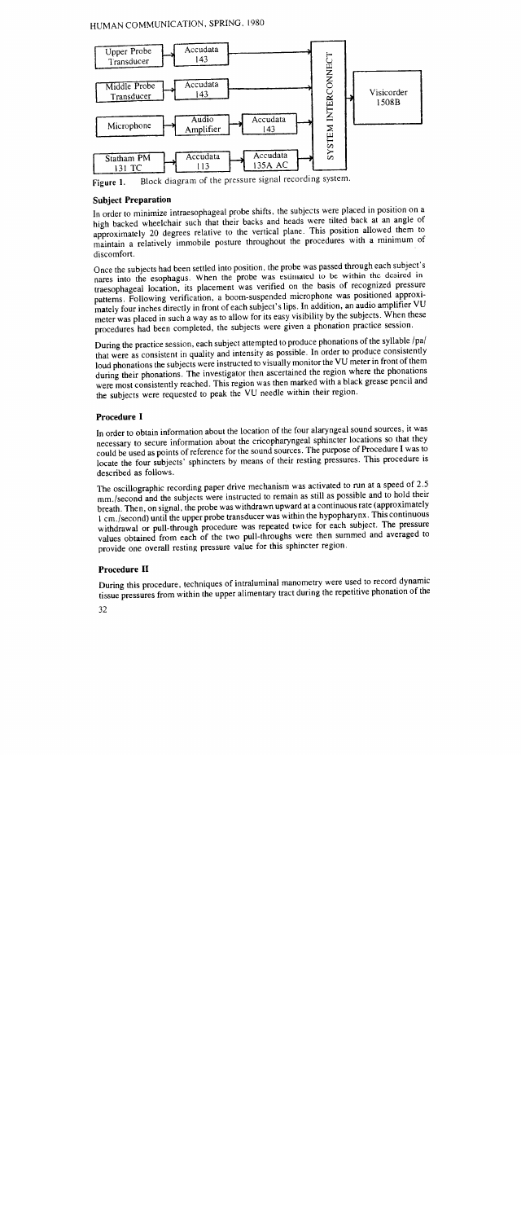# HUMAN COMMUNICATION, SPRING, 1980



Figure 1. Block diagram of the pressure signal recording system.

# **Subject Preparation**

In order to minimize intraesophageal probe shifts, the subjects were placed in position on a high backed wheelchair such that their backs and heads were tilted back at an angle of approximately 20 degrees relative to the vertical plane. This position allowed them to maintain a relatively immobile posture throughout the procedures with a minimum of discomfort.

Once the subjects had been settled into position, the probe was passed through each subject's nares into the esophagus. When the probe was estimated to be within the desired intraesophageal location, its placement was verified on the basis of recognized pressure patterns. Following verification, a boom-suspended microphone was positioned approximately four inches directly in front of each subject's lips. In addition, an audio amplifier VU meter was placed in such a way as to allow for its easy visibility by the subjects. When these procedures had been completed, the subjects were given a phonation practice session.

During the practice session, each subject attempted to produce phonations of the syllable /pa/ that were as consistent in quality and intensity as possible. In order to produce consistently loud phonations the subjects were instructed to visually monitor the VU meter in front of them during their phonations. The investigator then ascertained the region where the phonations were most consistently reached. This region was then marked with a black grease pencil and the subjects were requested to peak the VU needle within their region.

# **Procedure I**

In order to obtain information about the location of the four alaryngeal sound sources, it was necessary to secure information about the cricopharyngeal sphincter locations so that they could be used as points of reference for the sound sources. The purpose of Procedure I was to locate the four subjects' sphincters by means of their resting pressures. This procedure is described as follows.

The oscillographic recording paper drive mechanism was activated to run at a speed of 2.5 mm./second and the subjects were instructed to remain as still as possible and to hold their breath. Then, on signal, the probe was withdrawn upward at a continuous rate (approximately I cm./second) until the upper probe transducer was within the hypopharynx. This continuous withdrawal or pull-through procedure was repeated twice for each subject. The pressure values obtained from each of the two pull-throughs were then summed and averaged to provide one overall resting pressure value for this sphincter region.

# **Procedure 11**

During this procedure, techniques of intraluminal manometry were used to record dynamic tissue pressures from within the upper alimentary tract during the repetitive phonation of the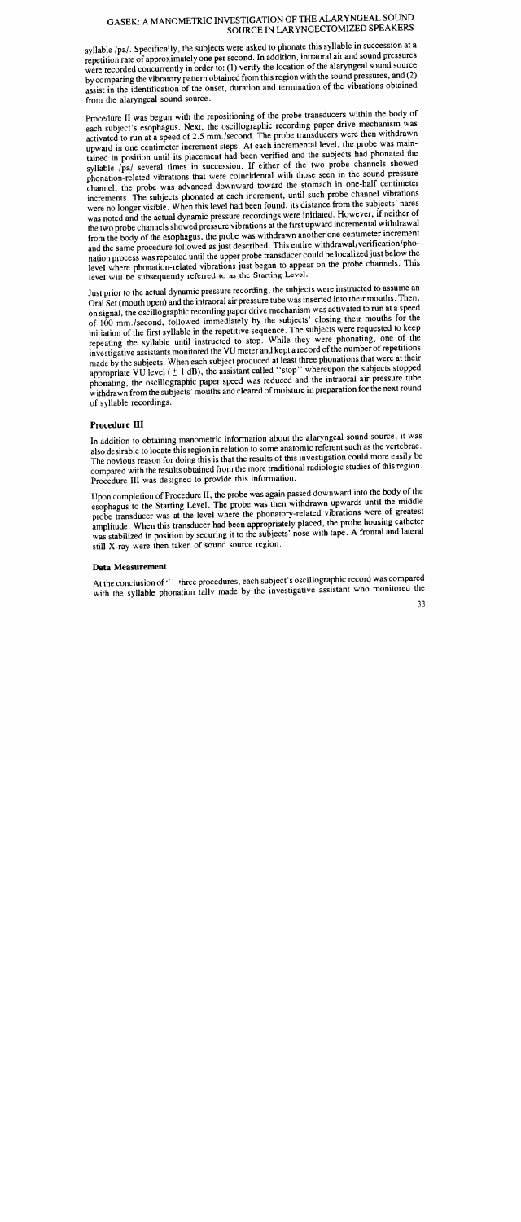#### GASEK: A MANOMETRIC INVESTIGATION OF THE ALAK I NOEAL SOUND SOURCE IN LARYNGECTOMIZED SPEAKERS

syllable /pa/. Specifically, the subjects were asked to phonate this syllable in succession at a repetition rate of approximately one per second. In addition, intraoral air and sound pressures were recorded concurrently in order to: (I) verify the location of the alaryngeal sound source by comparing the vibratory pattern obtained from this region with the sound pressures, and (2) assist in the identification of the onset, duration and termination of the vibrations obtained from the alaryngeal sound source.

Procedure II was begun with the repositioning of the probe transducers within the body of each subject's esophagus. Next, the oscillographic recording paper drive mechanism was activated to run at a speed of 2.5 mm./second. The probe transducers were then withdrawn upward in one centimeter increment steps. At each incremental level, the probe was maintained in position until its placement had been verified and the subjects had phonated the syllable /pa/ several times in succession. If either of the two probe channels showed phonation-related vibrations that were coincidental with those seen in the sound pressure channel, the probe was advanced downward toward the stomach in one-half centimeter increments. The subjects phonated at each increment, until such probe channel vibrations were no longer visible. When this level had been found, its distance from the subjects' nares was noted and the actual dynamic pressure recordings were initiated. However, if neither of the two probe channels showed pressure vibrations at the first upward incremental withdrawal from the body of the esophagus, the probe was withdrawn another one centimeter increment and the same procedure followed as just described. This entire withdrawal/verification/phonation process was repeated until the upper probe transducer could be localized just below the level where phonation-related vibrations just began to appear on the probe channels. This level will be subsequently referred to as the Starting Level.

Just prior to the actual dynamic pressure recording, the subjects were instructed to assume an Oral Set (mouth open) and the intraoral air pressure tube was inserted into their mouths. Then, on signal, the oscillographic recording paper drive mechanism was activated to run at a spee<sup>d</sup> of 100 mm./second, followed immediately by the subjects' closing their mouths for the initiation of the first syllable in the repetitive sequence. The subjects were requested to keep repeating the syllable until instructed to stop. While they were phonating, one of the investigative assistants monitored the VU meter and kept a record of the number of repetitions made by the subjects. When each subject produced at least three phonations that were at their appropriate VU level  $(\pm 1$  dB), the assistant called "stop" whereupon the subjects stopped phonating, the oscillographic paper speed was reduced and the intraoral air pressure tube withdrawn from the subjects' mouths and cleared of moisture in preparation for the next round of syllable recordings.

# **Procedure III**

In addition to obtaining manometric information about the alaryngeal sound source, it was also desirable to locate this region in relation to some anatomic referent such as the vertebrae. The obvious reason for doing this is that the results of this investigation could more easily be compared with the results obtained from the more traditional radiologic studies of this region. Procedure III was designed to provide this information.

Upon completion of Procedure 11, the probe was again passed downward into the body of the esophagus to the Starting Level. The probe was then withdrawn upwards until the middle probe transducer was at the level where the phonatory-related vibrations were of greatest amplitude. When this transducer had been appropriately placed, the probe housing catheter was stabilized in position by securing it to the subjects' nose with tape. A frontal and lateral still X-ray were then taken of sound source region.

## **Data Measurement**

At the conclusion of ' three procedures, each subject's oscillographic record was compared with the syllable phonation tally made by the investigative assistant who monitored the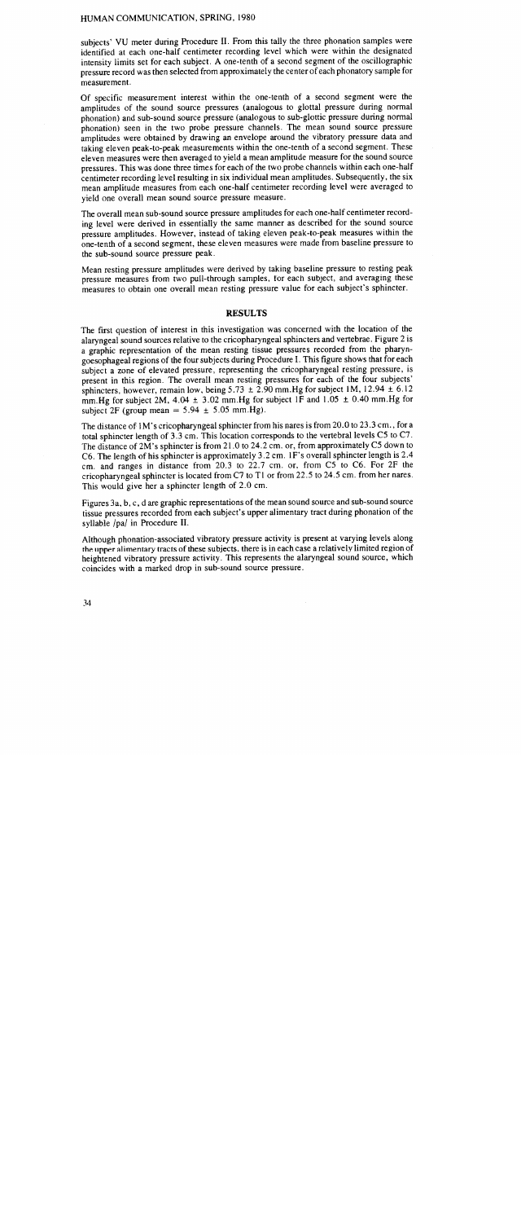subjects' VU meter during Procedure II. From this tally the three phonation samples were identified at each one-half centimeter recording level which were within the designated intensity limits set for each subject. A one-tenth of a second segment of the oscillographic pressure record was then selected from approximately the center of each phonatory sample for measurement.

Of specific measurement interest within the one-tenth of a second segment were the amplitudes of the sound source pressures (analogous to glottal pressure during normal phonation) and sub-sound source pressure (analogous to sub-glottic pressure during normal phonation) seen in the two probe pressure channels. The mean sound source pressure amplitudes were obtained by drawing an envelope around the vibratory pressure data and taking eleven peak-to-peak measurements within the one-tenth of a second segment. These eleven measures were then averaged to yield a mean amplitude measure for the sound source pressures. This was done three times for each of the two probe channels within each one-half centimeter recording level resulting in six individual mean amplitudes. Subsequently, the six mean amplitude measures from each one-half centimeter recording level were averaged to yield one overall mean sound source pressure measure.

The overall mean sub-sound source pressure amplitudes for each one-half centimeter recording level were derived in essentially the same manner as described for the sound source pressure amplitudes. However, instead of taking eleven peak-to-peak measures within the one-tenth of a second segment, these eleven measures were made from baseline pressure to the sub-sound source pressure peak.

Mean resting pressure amplitudes were derived by taking baseline pressure to resting peak pressure measures from two pull-through samples, for each subject, and averaging these measures to obtain one overall mean resting pressure value for each subject's sphincter.

#### **RESULTS**

The first question of interest in this investigation was concerned with the location of the alaryngeal sound sources relative to the cricopharyngeal sphincters and vertebrae. Figure 2 is a graphic representation of the mean resting tissue pressures recorded from the pharyngoesophageal regions of the four subjects during Procedure I. This figure shows that for each subject a zone of elevated pressure, representing the cricopharyngeal resting pressure, is present in this region. The overall mean resting pressures for each of the four subjects' sphincters, however, remain low, being  $5.73 \pm 2.90$  mm. Hg for subject 1M, 12.94  $\pm$  6.12 mm. Hg for subject 2M, 4.04  $\pm$  3.02 mm. Hg for subject 1F and 1.05  $\pm$  0.40 mm. Hg for subject 2F (group mean  $= 5.94 \pm 5.05$  mm.Hg).

The distance of I M's cricopharyngeal sphincter from his nares is from 20.0 to 23.3 cm., for a total sphincter length of 3.3 cm. This location corresponds to the vertebral levels *CS* to C7. The distance of2M's sphincter is from 21.0 to 24.2 cm. or, from approximately *CS* down to C6. The length of his sphincter is approximately 3.2 cm. 1 F's overall sphincter length is 2.4 cm. and ranges in distance from 20.3 to 22.7 cm. or, from *CS* to C6. For 2F the cricopharyngeal sphincter is located from C7 to Tl or from *22.S* to *24.S* cm. from her nares. This would give her a sphincter length of 2.0 cm.

Figures 3a, b, c, d are graphic representations of the mean sound source and sub-sound source tissue pressures recorded from each subject's upper alimentary tract during phonation of the syllable /pa/ in Procedure II.

Although phonation-associated vibratory pressure activity is present at varying levels along the upper alimentary tracts of these subjects, there is in each case a relatively limited region of heightened vibratory pressure activity. This represents the alaryngeal sound source, which coincides with a marked drop in sub-sound source pressure.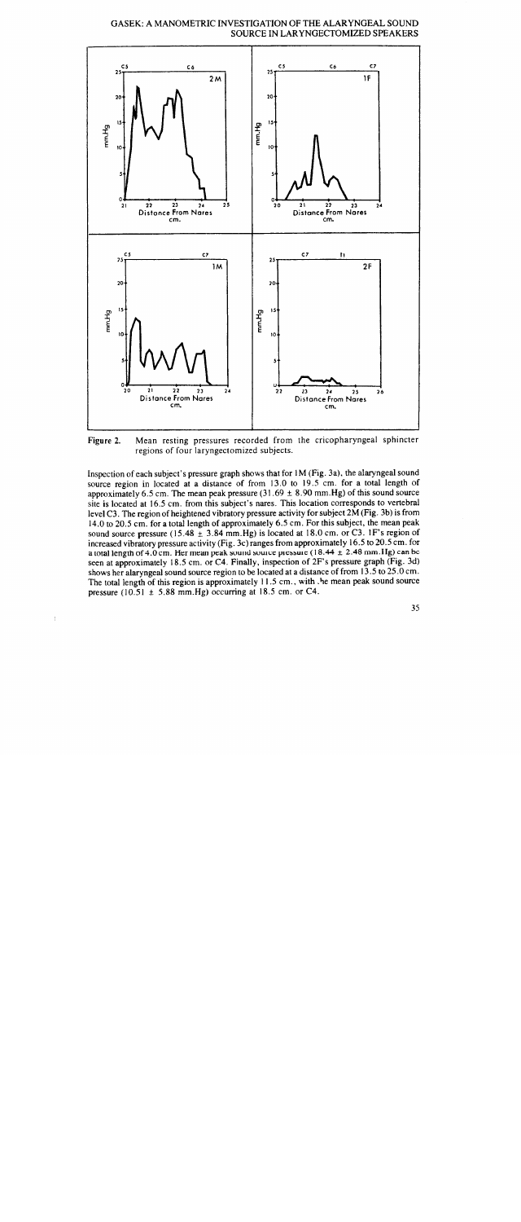



Figure 2. Mean resting pressures recorded from the cricopharyngeal sphincter regions of four laryngectomized subjects.

Inspection of each subject's pressure graph shows that for I M (Fig. 3a), the alaryngeal sound source region in located at a distance of from 13.0 to 19.5 cm. for a total length of approximately 6.5 cm. The mean peak pressure  $(31.69 \pm 8.90 \text{ mm} \cdot \text{Hg})$  of this sound source site is located at 16.5 cm. from this subject's nares. This location corresponds to vertebral level C3. The region of heightened vibratory pressure activity for subject 2M (Fig. 3b) is from 14.0 to 20.5 cm. for a total length of approximately 6.5 cm. For this subject, the mean peak sound source pressure (15.48  $\pm$  3.84 mm.Hg) is located at 18.0 cm. or C3. IF's region of increased vibratory pressure activity (Fig. 3c) ranges from approximately 16.5 to 20.5 cm. for a total length of 4.0 cm. Her mean peak sound source pressure (18.44  $\pm$  2.48 mm. Hg) can be seen at approximately 18.5 cm. or C4. Finally, inspection of 2F's pressure graph (Fig. 3d) shows her alaryngeal sound source region to be located at a distance of from 13.5 to 25.0 cm. The total length of this region is approximately 11.5 cm., with . he mean peak sound source pressure (10.51  $\pm$  5.88 mm. Hg) occurring at 18.5 cm. or C4.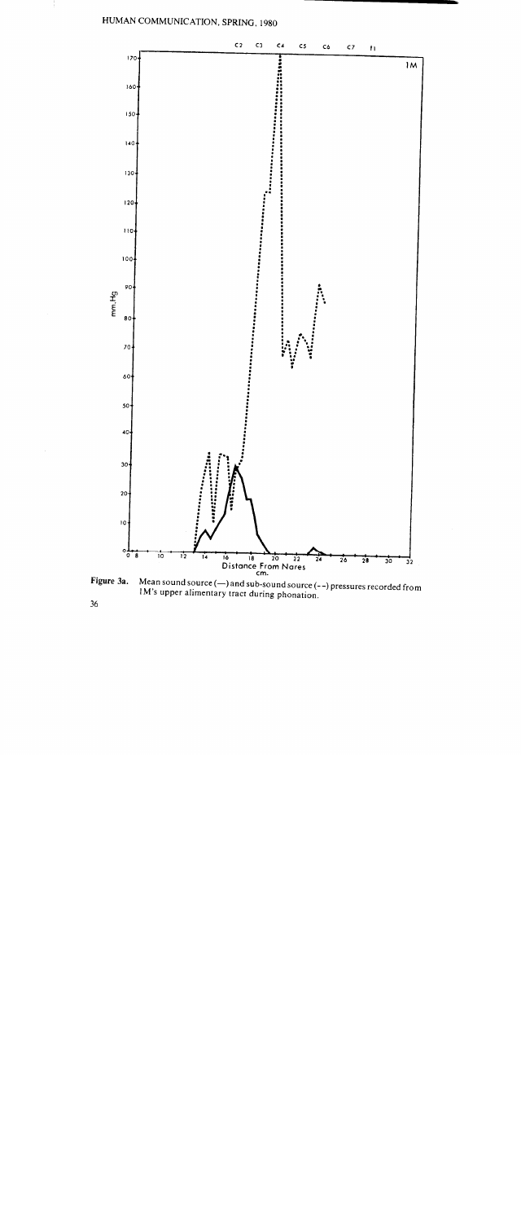### HUMAN COMMUNICATION, SPRING, 1980



Mean sound source (—) and sub-sound source (- -) pressures recorded from M's upper alimentary tract during phonation.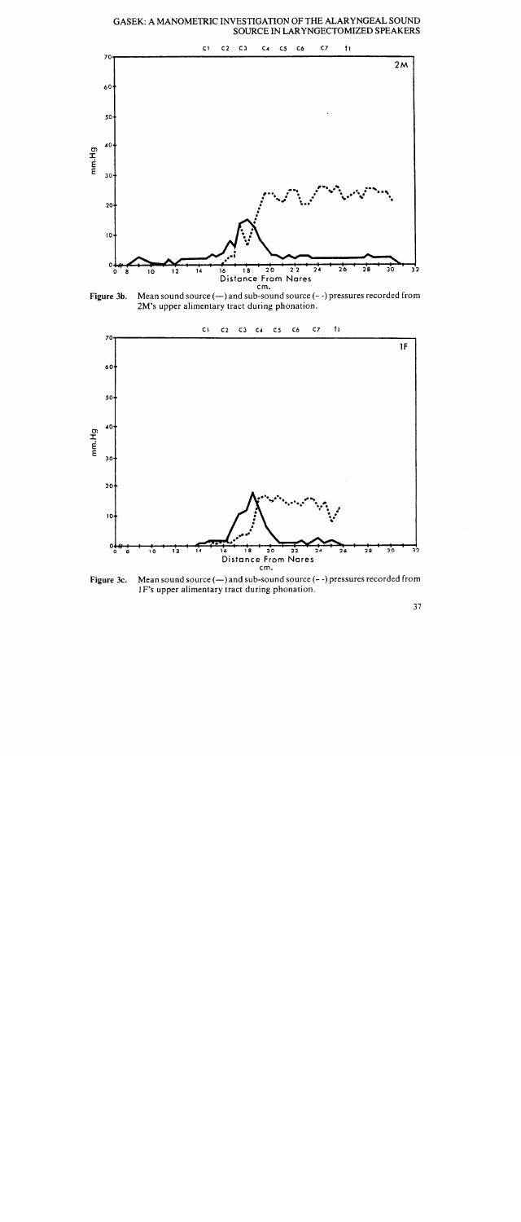GASEK: A MANOMETRIC INVESTIGATION OF THE ALARYNGEAL SOUND SOURCE IN LARYNGECTOMIZED SPEAKERS



Figure 3b. Mean sound source  $(-)$  and sub-sound source  $(-)$  pressures recorded from 2M's upper alimentary tract during phonation.



Figure 3c. Mean sound source  $(-)$  and sub-sound source  $(-)$  pressures recorded from 1 F's upper alimentary tract during phonation.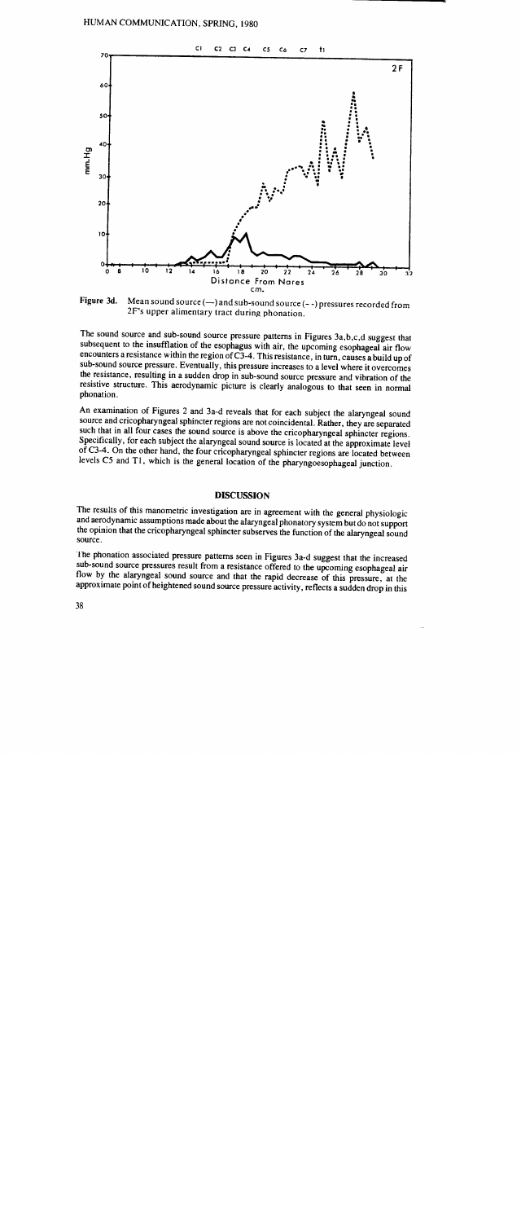

Figure 3d. Mean sound source  $(-)$  and sub-sound source  $(-)$  pressures recorded from 2F's upper alimentary tract during phonation.

The sound source and sub-sound source pressure patterns in Figures 3a,b,c,d suggest that subsequent to the insufflation of the esophagus with air, the upcoming esophageal air flow encounters a resistance within the region of C3-4. This resistance, in turn, causes a build up of sub-sound source pressure. Eventually, this pressure increases to a level where it overcomes the resistance, resulting in a sudden drop in sub-sound source pressure and vibration of the resistive structure. This aerodynamic picture is clearly analogous to that seen in normal phonation.

An examination of Figures 2 and 3a-d reveals that for each subject the alaryngeal sound source and cricopharyngeal sphincter regions are not coincidental. Rather, they are separated such that in all four cases the sound source is above the cricopharyngeal sphincter regions. Specifically, for each subject the alaryngeal sound source is located at the approximate level of C3-4. On the other hand, the four cricopharyngeal sphincter regions are located between levels CS and T1, which is the general location of the pharyngoesophageal junction.

#### DISCUSSION

The results of this manometric investigation are in agreement with the general physiologic and aerodynamic assumptions made about the alaryngeal phonatory system but do not support the opinion that the cricopharyngeal sphincter subserves the function of the alaryngeal sound source.

The phonation associated pressure patterns seen in Figures 3a-d suggest that the increased sub-sound source pressures result from a resistance offered to the upcoming esophageal air flow by the alaryngeal sound source and that the rapid decrease of this pressure, at the approximate point of heightened sound source pressure activity, reflects a sudden drop in this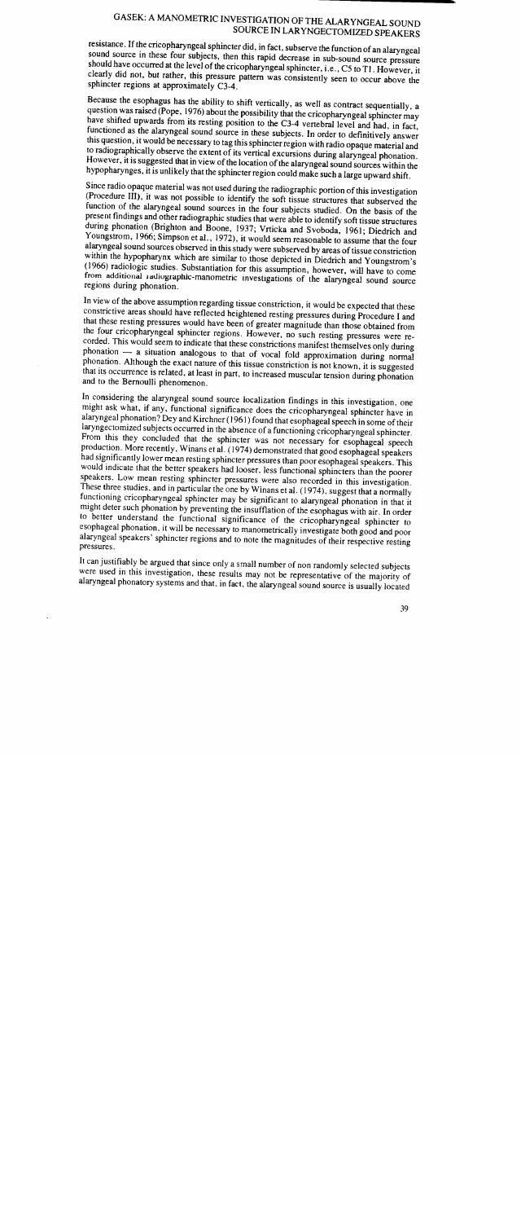### SEN. A MANOMETRIC INVESTIGATION OF THE ALARYNGEAL SOUND SOURCE IN LARYNGECTOMIZED SPEAKERS

resistance. If the cricopharyngeal sphincter did, in fact, subserve the function of an alaryngeal sound source in these four subjects, then this rapid decrease in sub-sound source pressure should have occurred at the level of the cricopharyngeal sphincter, i.e., C5 to TI. However, it clearly did not, but rather, this pressure pattern was consistently seen to occur above the sphincter regions at approximately C3-4.

Because the esophagus has the ability to shift vertically, as well as contract sequentially, a question was raised (Pope, 1976) about the possibility that the cricopharyngeal sphincter may have shifted upwards from its resting position to the C3-4 vertebral level and had, in fact, functioned as the alaryngeal sound source in these subjects. In order to definitively answer this question, it would be necessary to tag this sphincter region with radio opaque material and to radiographically observe the extent of its vertical excursions during alaryngeal phonation. However, it is suggested that in view of the location of the alaryngeal sound sources within the hypopharynges, it is unlikely that the sphincter region could make such a large upward shift.

Since radio opaque material was not used during the radiographic portion of this investigation (Procedure III), it was not possible to identify the soft tissue structures that subserved the function of the alaryngeal sound sources in the four subjects studied. On the basis of the present findings and other radiographic studies that were able to identify soft tissue structures during phonation (Brighton and Boone, 1937; Vrticka and Svoboda, 1961; Diedrich and Youngstrom, 1966; Simpson et al., 1972), it would seem reasonable to assume that the four alaryngeal sound sources observed in this study were subserved by areas of tissue constriction within the hypopharynx which are similar to those depicted in Diedrich and Youngstrom's (1966) radiologic studies. Substantiation for this assumption, however, will have to come from additional radiographic-manometric investigations of the alaryngeal sound source regions during phonation.

In view of the above assumption regarding tissue constriction, it would be expected that these constrictive areas should have reflected heightened resting pressures during Procedure I and that these resting pressures would have been of greater magnitude than those obtained from the four cricopharyngeal sphincter regions. However, no such resting pressures were recorded. This would seem to indicate that these constrictions manifest themselves only during phonation - a situation analogous to that of vocal fold approximation during normal <sup>p</sup>honation. Although the exact nature of this tissue constriction is not known, it is suggested that its occurrence is related, at least in part, to increased muscular tension during phonation and to the Bernoulli phenomenon.

In considering the alaryngeal sound source localization findings in this investigation, one might ask what, if any, functional significance does the cricopharyngeal sphincter have in alaryngeal phonation? Dey and Kirchner (1961) found that esophageal speech in some of their laryngectomized subjects occurred in the absence of a functioning cricopharyngeal sphincter. From this they concluded that the sphincter was not necessary for esophageal speech production. More recently, Winans et al. (1974) demonstrated that good esophageal speakers had significantly lower mean resting sphincter pressures than poor esophageal speakers. This would indicate that the better speakers had looser, less functional sphincters than the poorer speakers. Low mean resting sphincter pressures were also recorded in this investigation. These three studies, and in particular the one by Winans et al. (1974), suggest that a normally functioning cricopharyngeal sphincter may be significant to alaryngeal phonation in that it might deter such phonation by preventing the insufflation of the esophagus with air. In order to better understand the functional significance of the cricopharyngeal sphincter to esophageal phonation, it wiJl be necessary to manometricaJly investigate both good and poor alaryngeal speakers' sphincter regions and to note the magnitudes of their respective resting pressures.

It can justifiably be argued that since only a small number of non randomly selected subjects were used in this investigation, these results may not be representative of the majority of alaryngeal phonatory systems and that, in fact, the alaryngeal sound source is usuaJly located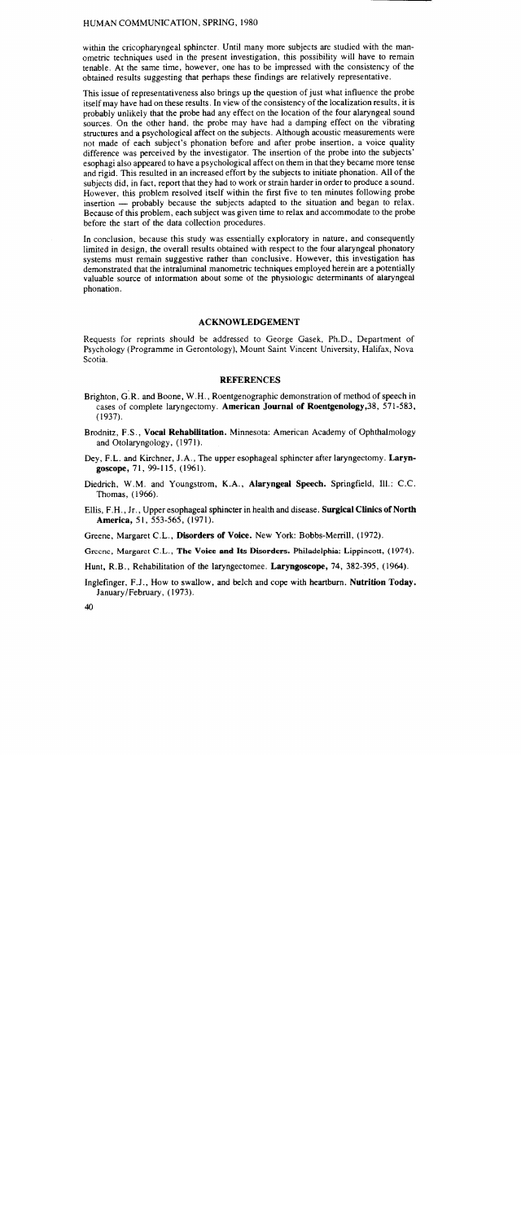#### HUMAN COMMUNICATION, SPRING, 1980

within the cricopharyngeal sphincter. Until many more subjects are studied with the manometric techniques used in the present investigation, this possibility will have to remain tenable. At the same time, however, one has to be impressed with the consistency of the obtained results suggesting that perhaps these findings are relatively representative.

This issue of representativeness also brings up the question of just what influence the probe itself may have had on these results. In view of the consistency of the localization results, it is probably unlikely that the probe had any effect on the location of the four alaryngeal sound sources. On the other hand, the probe may have had a damping effect on the vibrating structures and a psychological affect on the subjects. Although acoustic measurements were not made of each subject's phonation before and after probe insertion, a voice quality difference was perceived by the investigator. The insertion of the probe into the subjects' esophagi also appeared to have a psychological affect on them in that they became more tense and rigid. This resulted in an increased effort by the subjects to initiate phonation. All of the subjects did, in fact, report that they had to work or strain harder in order to produce a sound. However, this problem resolved itself within the first five to ten minutes following probe insertion - probably because the subjects adapted to the situation and began to relax. Because of this problem, each subject was given time to relax and accommodate to the probe before the start of the data collection procedures.

In conclusion, because this study was essentially exploratory in nature, and consequently limited in design, the overall results obtained with respect to the four alaryngeal phonatory systems must remain suggestive rather than conclusive. However, this investigation has demonstrated that the intraluminal manometric techniques employed herein are a potentially valuable source of information about some of the physiologic determinants of aIaryngeaI phonation.

### ACKNOWLEDGEMENT

Requests for reprints should be addressed to George Gasek, Ph.D., Department of Psychology (Programme in Gerontology), Mount Saint Vincent University, Halifax, Nova Scotia.

#### REFERENCES

- Brighton, G .R. and Boone, W .H., Roentgenographic demonstration of method of speech in cases of complete laryngectomy. American Journal of Roentgenology,38, 571-583,  $(1937).$
- Brodnitz, F.S., Vocal Rehabilitation. Minnesota: American Academy of Ophthalmology and Otolaryngology, (1971).
- Dey, F.L. and Kirchner, J *.A.,* The upper esophageal sphincter after laryngectomy. Laryngoscope, 71, 99-115, (1961).
- Diedrich, W.M. and Youngstrom, K.A., Alaryngeal Speech. Springfield, Ill.: C.C. Thomas, (1966).
- Ellis, F.H., Jr., Upper esophageal sphincter in health and disease. Surgical Clinics of North America, 51, 553-565, (1971).
- Greene, Margaret C.L., Disorders of Voice. New York: Bobbs-Merrill, (1972).
- Greene, Margaret C.L., The Voice and Its Disorders. Philadelphia: Lippincott, (1974).
- Hunt, R.B., Rehabilitation of the laryngectomee. Laryngoscope, 74, 382-395, (1964).
- Inglefinger, F.J., How to swallow, and belch and cope with heartburn. Nutrition Today. January/February, (1973).